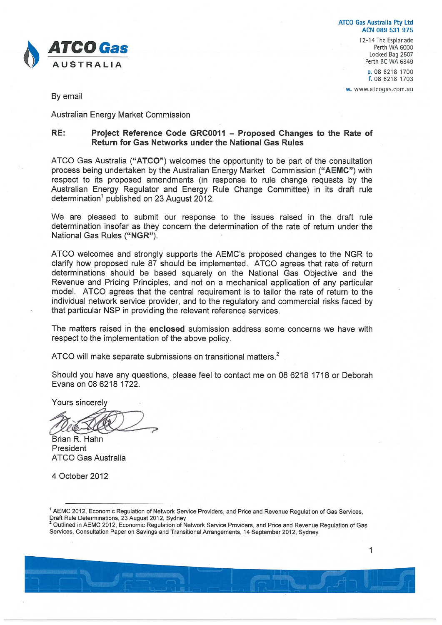

**ATCO Gas Australia Pty Ltd** ACN 089 531 975

> 12-14 The Esplanade Perth WA 6000 Locked Bag 2507 Perth BC WA 6849

> > p. 08 6218 1700 f. 08 6218 1703

w. www.atcogas.com.au

By email

**Australian Energy Market Commission** 

#### RE: Project Reference Code GRC0011 - Proposed Changes to the Rate of Return for Gas Networks under the National Gas Rules

ATCO Gas Australia ("ATCO") welcomes the opportunity to be part of the consultation process being undertaken by the Australian Energy Market Commission ("AEMC") with respect to its proposed amendments (in response to rule change requests by the Australian Energy Regulator and Energy Rule Change Committee) in its draft rule determination<sup>1</sup> published on 23 August 2012.

We are pleased to submit our response to the issues raised in the draft rule determination insofar as they concern the determination of the rate of return under the National Gas Rules ("NGR").

ATCO welcomes and strongly supports the AEMC's proposed changes to the NGR to clarify how proposed rule 87 should be implemented. ATCO agrees that rate of return determinations should be based squarely on the National Gas Objective and the Revenue and Pricing Principles, and not on a mechanical application of any particular model. ATCO agrees that the central requirement is to tailor the rate of return to the individual network service provider, and to the regulatory and commercial risks faced by that particular NSP in providing the relevant reference services.

The matters raised in the enclosed submission address some concerns we have with respect to the implementation of the above policy.

ATCO will make separate submissions on transitional matters.<sup>2</sup>

Should you have any questions, please feel to contact me on 08 6218 1718 or Deborah Evans on 08 6218 1722.

Yours sincerely

Brian R. Hahn President **ATCO Gas Australia** 

4 October 2012

<sup>&</sup>lt;sup>1</sup> AEMC 2012, Economic Regulation of Network Service Providers, and Price and Revenue Regulation of Gas Services, Draft Rule Determinations, 23 August 2012, Sydney

<sup>2</sup> Outlined in AEMC 2012, Economic Regulation of Network Service Providers, and Price and Revenue Regulation of Gas Services, Consultation Paper on Savings and Transitional Arrangements, 14 September 2012, Sydney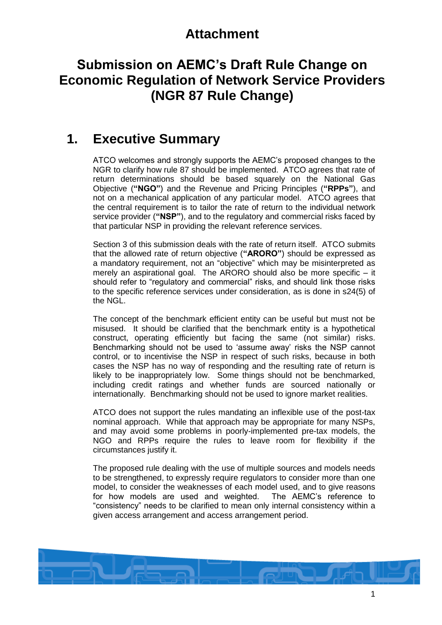# **Attachment**

# **Submission on AEMC's Draft Rule Change on Economic Regulation of Network Service Providers (NGR 87 Rule Change)**

# **1. Executive Summary**

ATCO welcomes and strongly supports the AEMC's proposed changes to the NGR to clarify how rule 87 should be implemented. ATCO agrees that rate of return determinations should be based squarely on the National Gas Objective (**"NGO"**) and the Revenue and Pricing Principles (**"RPPs"**), and not on a mechanical application of any particular model. ATCO agrees that the central requirement is to tailor the rate of return to the individual network service provider (**"NSP"**), and to the regulatory and commercial risks faced by that particular NSP in providing the relevant reference services.

Section [3](#page-2-0) of this submission deals with the rate of return itself. ATCO submits that the allowed rate of return objective (**"ARORO"**) should be expressed as a mandatory requirement, not an "objective" which may be misinterpreted as merely an aspirational goal. The ARORO should also be more specific – it should refer to "regulatory and commercial" risks, and should link those risks to the specific reference services under consideration, as is done in s24(5) of the NGL.

The concept of the benchmark efficient entity can be useful but must not be misused. It should be clarified that the benchmark entity is a hypothetical construct, operating efficiently but facing the same (not similar) risks. Benchmarking should not be used to 'assume away' risks the NSP cannot control, or to incentivise the NSP in respect of such risks, because in both cases the NSP has no way of responding and the resulting rate of return is likely to be inappropriately low. Some things should not be benchmarked, including credit ratings and whether funds are sourced nationally or internationally. Benchmarking should not be used to ignore market realities.

ATCO does not support the rules mandating an inflexible use of the post-tax nominal approach. While that approach may be appropriate for many NSPs, and may avoid some problems in poorly-implemented pre-tax models, the NGO and RPPs require the rules to leave room for flexibility if the circumstances justify it.

The proposed rule dealing with the use of multiple sources and models needs to be strengthened, to expressly require regulators to consider more than one model, to consider the weaknesses of each model used, and to give reasons for how models are used and weighted. The AEMC's reference to "consistency" needs to be clarified to mean only internal consistency within a given access arrangement and access arrangement period.

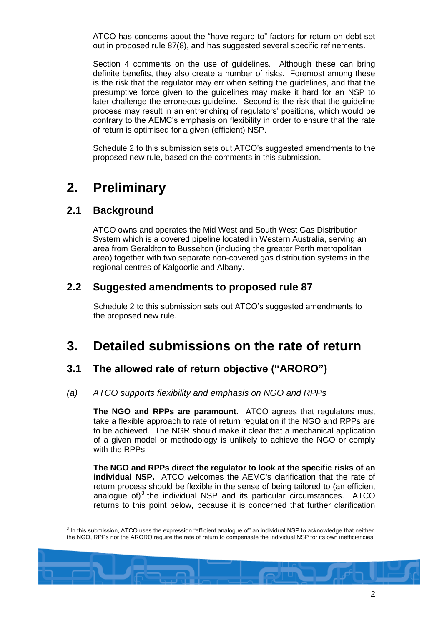ATCO has concerns about the "have regard to" factors for return on debt set out in proposed rule 87(8), and has suggested several specific refinements.

Section [4](#page-10-0) comments on the use of guidelines. Although these can bring definite benefits, they also create a number of risks. Foremost among these is the risk that the regulator may err when setting the guidelines, and that the presumptive force given to the guidelines may make it hard for an NSP to later challenge the erroneous guideline. Second is the risk that the guideline process may result in an entrenching of regulators' positions, which would be contrary to the AEMC's emphasis on flexibility in order to ensure that the rate of return is optimised for a given (efficient) NSP.

[Schedule 2](#page-16-0) to this submission sets out ATCO's suggested amendments to the proposed new rule, based on the comments in this submission.

# **2. Preliminary**

## **2.1 Background**

 $\overline{a}$ 

ATCO owns and operates the Mid West and South West Gas Distribution System which is a covered pipeline located in Western Australia, serving an area from Geraldton to Busselton (including the greater Perth metropolitan area) together with two separate non-covered gas distribution systems in the regional centres of Kalgoorlie and Albany.

## **2.2 Suggested amendments to proposed rule 87**

[Schedule 2](#page-16-0) to this submission sets out ATCO's suggested amendments to the proposed new rule.

# <span id="page-2-0"></span>**3. Detailed submissions on the rate of return**

## **3.1 The allowed rate of return objective ("ARORO")**

## *(a) ATCO supports flexibility and emphasis on NGO and RPPs*

**The NGO and RPPs are paramount.** ATCO agrees that regulators must take a flexible approach to rate of return regulation if the NGO and RPPs are to be achieved. The NGR should make it clear that a mechanical application of a given model or methodology is unlikely to achieve the NGO or comply with the RPPs.

**The NGO and RPPs direct the regulator to look at the specific risks of an individual NSP.** ATCO welcomes the AEMC's clarification that the rate of return process should be flexible in the sense of being tailored to (an efficient analogue of) $3$  the individual NSP and its particular circumstances. ATCO returns to this point below, because it is concerned that further clarification

<sup>&</sup>lt;sup>3</sup> In this submission, ATCO uses the expression "efficient analogue of" an individual NSP to acknowledge that neither the NGO, RPPs nor the ARORO require the rate of return to compensate the individual NSP for its own inefficiencies.

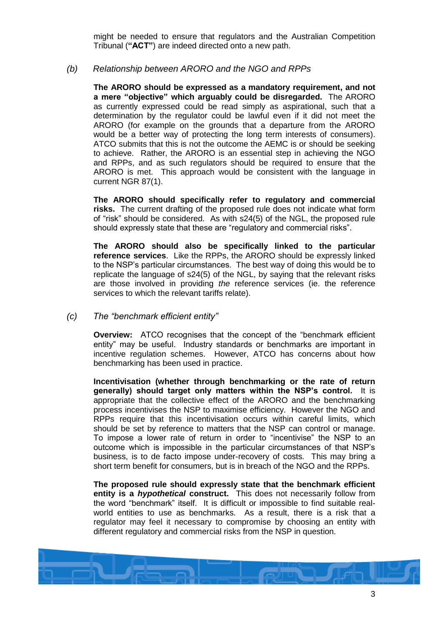might be needed to ensure that regulators and the Australian Competition Tribunal (**"ACT"**) are indeed directed onto a new path.

## <span id="page-3-0"></span>*(b) Relationship between ARORO and the NGO and RPPs*

**The ARORO should be expressed as a mandatory requirement, and not a mere "objective" which arguably could be disregarded.** The ARORO as currently expressed could be read simply as aspirational, such that a determination by the regulator could be lawful even if it did not meet the ARORO (for example on the grounds that a departure from the ARORO would be a better way of protecting the long term interests of consumers). ATCO submits that this is not the outcome the AEMC is or should be seeking to achieve. Rather, the ARORO is an essential step in achieving the NGO and RPPs, and as such regulators should be required to ensure that the ARORO is met. This approach would be consistent with the language in current NGR 87(1).

**The ARORO should specifically refer to regulatory and commercial risks.** The current drafting of the proposed rule does not indicate what form of "risk" should be considered. As with s24(5) of the NGL, the proposed rule should expressly state that these are "regulatory and commercial risks".

**The ARORO should also be specifically linked to the particular reference services**. Like the RPPs, the ARORO should be expressly linked to the NSP's particular circumstances. The best way of doing this would be to replicate the language of s24(5) of the NGL, by saying that the relevant risks are those involved in providing *the* reference services (ie. the reference services to which the relevant tariffs relate).

#### <span id="page-3-1"></span>*(c) The "benchmark efficient entity"*

**Overview:** ATCO recognises that the concept of the "benchmark efficient" entity" may be useful. Industry standards or benchmarks are important in incentive regulation schemes. However, ATCO has concerns about how benchmarking has been used in practice.

**Incentivisation (whether through benchmarking or the rate of return generally) should target only matters within the NSP's control.** It is appropriate that the collective effect of the ARORO and the benchmarking process incentivises the NSP to maximise efficiency. However the NGO and RPPs require that this incentivisation occurs within careful limits, which should be set by reference to matters that the NSP can control or manage. To impose a lower rate of return in order to "incentivise" the NSP to an outcome which is impossible in the particular circumstances of that NSP's business, is to de facto impose under-recovery of costs. This may bring a short term benefit for consumers, but is in breach of the NGO and the RPPs.

**The proposed rule should expressly state that the benchmark efficient entity is a** *hypothetical* **construct.** This does not necessarily follow from the word "benchmark" itself. It is difficult or impossible to find suitable realworld entities to use as benchmarks. As a result, there is a risk that a regulator may feel it necessary to compromise by choosing an entity with different regulatory and commercial risks from the NSP in question.

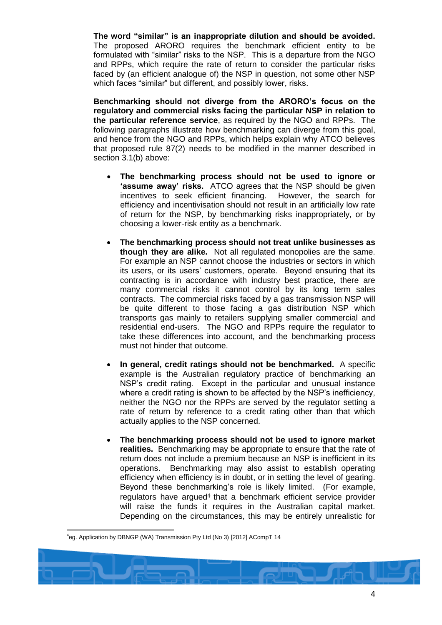**The word "similar" is an inappropriate dilution and should be avoided.** The proposed ARORO requires the benchmark efficient entity to be formulated with "similar" risks to the NSP. This is a departure from the NGO and RPPs, which require the rate of return to consider the particular risks faced by (an efficient analogue of) the NSP in question, not some other NSP which faces "similar" but different, and possibly lower, risks.

**Benchmarking should not diverge from the ARORO's focus on the regulatory and commercial risks facing the particular NSP in relation to the particular reference service**, as required by the NGO and RPPs. The following paragraphs illustrate how benchmarking can diverge from this goal, and hence from the NGO and RPPs, which helps explain why ATCO believes that proposed rule 87(2) needs to be modified in the manner described in section [3.1\(b\)](#page-3-0) above:

- **The benchmarking process should not be used to ignore or 'assume away' risks.** ATCO agrees that the NSP should be given incentives to seek efficient financing. However, the search for efficiency and incentivisation should not result in an artificially low rate of return for the NSP, by benchmarking risks inappropriately, or by choosing a lower-risk entity as a benchmark.
- **The benchmarking process should not treat unlike businesses as though they are alike.** Not all regulated monopolies are the same. For example an NSP cannot choose the industries or sectors in which its users, or its users' customers, operate. Beyond ensuring that its contracting is in accordance with industry best practice, there are many commercial risks it cannot control by its long term sales contracts. The commercial risks faced by a gas transmission NSP will be quite different to those facing a gas distribution NSP which transports gas mainly to retailers supplying smaller commercial and residential end-users. The NGO and RPPs require the regulator to take these differences into account, and the benchmarking process must not hinder that outcome.
- **In general, credit ratings should not be benchmarked.** A specific example is the Australian regulatory practice of benchmarking an NSP's credit rating. Except in the particular and unusual instance where a credit rating is shown to be affected by the NSP's inefficiency, neither the NGO nor the RPPs are served by the regulator setting a rate of return by reference to a credit rating other than that which actually applies to the NSP concerned.
- **The benchmarking process should not be used to ignore market realities.** Benchmarking may be appropriate to ensure that the rate of return does not include a premium because an NSP is inefficient in its operations. Benchmarking may also assist to establish operating efficiency when efficiency is in doubt, or in setting the level of gearing. Beyond these benchmarking's role is likely limited. (For example, regulators have argued<sup>4</sup> that a benchmark efficient service provider will raise the funds it requires in the Australian capital market. Depending on the circumstances, this may be entirely unrealistic for

 $\overline{a}$ 4 eg. Application by DBNGP (WA) Transmission Pty Ltd (No 3) [2012] ACompT 14

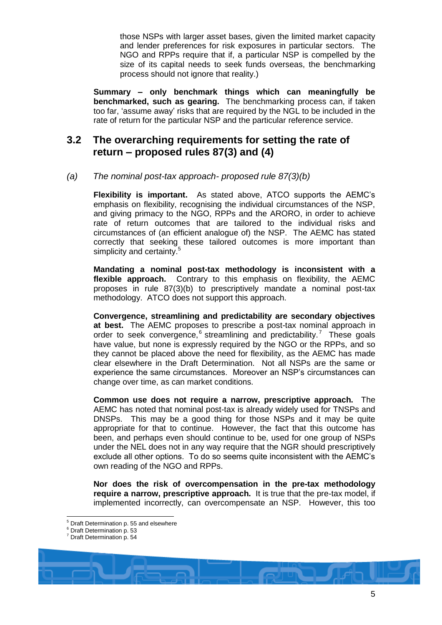those NSPs with larger asset bases, given the limited market capacity and lender preferences for risk exposures in particular sectors. The NGO and RPPs require that if, a particular NSP is compelled by the size of its capital needs to seek funds overseas, the benchmarking process should not ignore that reality.)

**Summary – only benchmark things which can meaningfully be benchmarked, such as gearing.** The benchmarking process can, if taken too far, 'assume away' risks that are required by the NGL to be included in the rate of return for the particular NSP and the particular reference service.

# **3.2 The overarching requirements for setting the rate of return – proposed rules 87(3) and (4)**

## <span id="page-5-0"></span>*(a) The nominal post-tax approach- proposed rule 87(3)(b)*

**Flexibility is important.** As stated above, ATCO supports the AEMC's emphasis on flexibility, recognising the individual circumstances of the NSP, and giving primacy to the NGO, RPPs and the ARORO, in order to achieve rate of return outcomes that are tailored to the individual risks and circumstances of (an efficient analogue of) the NSP. The AEMC has stated correctly that seeking these tailored outcomes is more important than simplicity and certainty.<sup>5</sup>

**Mandating a nominal post-tax methodology is inconsistent with a flexible approach.** Contrary to this emphasis on flexibility, the AEMC proposes in rule 87(3)(b) to prescriptively mandate a nominal post-tax methodology. ATCO does not support this approach.

**Convergence, streamlining and predictability are secondary objectives at best.** The AEMC proposes to prescribe a post-tax nominal approach in order to seek convergence,  $6$  streamlining and predictability.<sup>7</sup> These goals have value, but none is expressly required by the NGO or the RPPs, and so they cannot be placed above the need for flexibility, as the AEMC has made clear elsewhere in the Draft Determination. Not all NSPs are the same or experience the same circumstances. Moreover an NSP's circumstances can change over time, as can market conditions.

**Common use does not require a narrow, prescriptive approach.** The AEMC has noted that nominal post-tax is already widely used for TNSPs and DNSPs. This may be a good thing for those NSPs and it may be quite appropriate for that to continue. However, the fact that this outcome has been, and perhaps even should continue to be, used for one group of NSPs under the NEL does not in any way require that the NGR should prescriptively exclude all other options. To do so seems quite inconsistent with the AEMC's own reading of the NGO and RPPs.

**Nor does the risk of overcompensation in the pre-tax methodology require a narrow, prescriptive approach.** It is true that the pre-tax model, if implemented incorrectly, can overcompensate an NSP. However, this too

<sup>&</sup>lt;sup>5</sup> Draft Determination p. 55 and elsewhere

<sup>6</sup> Draft Determination p. 53

<sup>7</sup> Draft Determination p. 54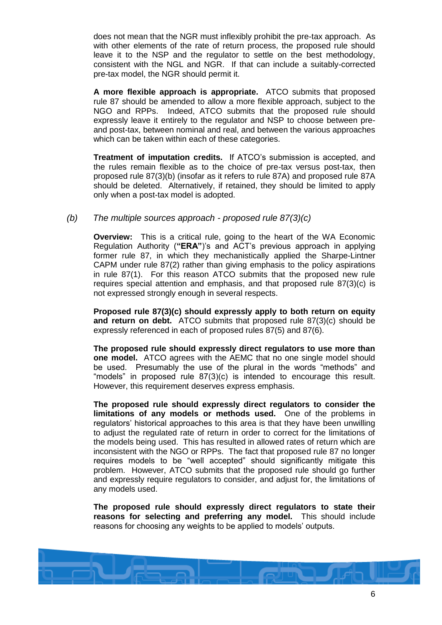does not mean that the NGR must inflexibly prohibit the pre-tax approach. As with other elements of the rate of return process, the proposed rule should leave it to the NSP and the regulator to settle on the best methodology, consistent with the NGL and NGR. If that can include a suitably-corrected pre-tax model, the NGR should permit it.

**A more flexible approach is appropriate.** ATCO submits that proposed rule 87 should be amended to allow a more flexible approach, subject to the NGO and RPPs. Indeed, ATCO submits that the proposed rule should expressly leave it entirely to the regulator and NSP to choose between preand post-tax, between nominal and real, and between the various approaches which can be taken within each of these categories.

**Treatment of imputation credits.** If ATCO's submission is accepted, and the rules remain flexible as to the choice of pre-tax versus post-tax, then proposed rule 87(3)(b) (insofar as it refers to rule 87A) and proposed rule 87A should be deleted. Alternatively, if retained, they should be limited to apply only when a post-tax model is adopted.

## <span id="page-6-0"></span>*(b) The multiple sources approach - proposed rule 87(3)(c)*

**Overview:** This is a critical rule, going to the heart of the WA Economic Regulation Authority (**"ERA"**)'s and ACT's previous approach in applying former rule 87, in which they mechanistically applied the Sharpe-Lintner CAPM under rule 87(2) rather than giving emphasis to the policy aspirations in rule 87(1). For this reason ATCO submits that the proposed new rule requires special attention and emphasis, and that proposed rule 87(3)(c) is not expressed strongly enough in several respects.

**Proposed rule 87(3)(c) should expressly apply to both return on equity and return on debt.** ATCO submits that proposed rule 87(3)(c) should be expressly referenced in each of proposed rules 87(5) and 87(6).

**The proposed rule should expressly direct regulators to use more than one model.** ATCO agrees with the AEMC that no one single model should be used. Presumably the use of the plural in the words "methods" and "models" in proposed rule 87(3)(c) is intended to encourage this result. However, this requirement deserves express emphasis.

**The proposed rule should expressly direct regulators to consider the limitations of any models or methods used.** One of the problems in regulators' historical approaches to this area is that they have been unwilling to adjust the regulated rate of return in order to correct for the limitations of the models being used. This has resulted in allowed rates of return which are inconsistent with the NGO or RPPs. The fact that proposed rule 87 no longer requires models to be "well accepted" should significantly mitigate this problem. However, ATCO submits that the proposed rule should go further and expressly require regulators to consider, and adjust for, the limitations of any models used.

**The proposed rule should expressly direct regulators to state their reasons for selecting and preferring any model.** This should include reasons for choosing any weights to be applied to models' outputs.

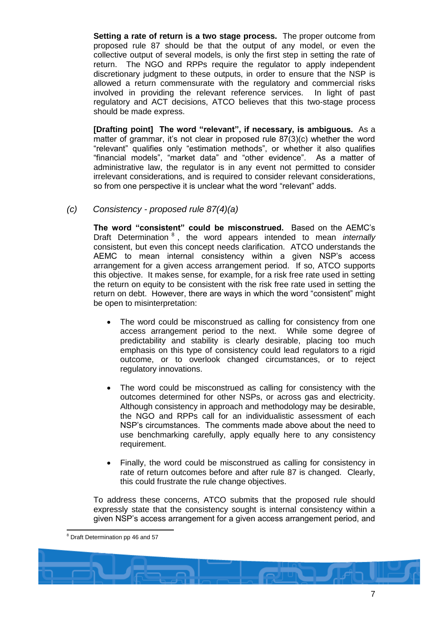**Setting a rate of return is a two stage process.** The proper outcome from proposed rule 87 should be that the output of any model, or even the collective output of several models, is only the first step in setting the rate of return. The NGO and RPPs require the regulator to apply independent discretionary judgment to these outputs, in order to ensure that the NSP is allowed a return commensurate with the regulatory and commercial risks involved in providing the relevant reference services. In light of past regulatory and ACT decisions, ATCO believes that this two-stage process should be made express.

**[Drafting point] The word "relevant", if necessary, is ambiguous.** As a matter of grammar, it's not clear in proposed rule 87(3)(c) whether the word "relevant" qualifies only "estimation methods", or whether it also qualifies "financial models", "market data" and "other evidence". As a matter of administrative law, the regulator is in any event not permitted to consider irrelevant considerations, and is required to consider relevant considerations, so from one perspective it is unclear what the word "relevant" adds.

<span id="page-7-0"></span>*(c) Consistency - proposed rule 87(4)(a)*

**The word "consistent" could be misconstrued.** Based on the AEMC's Draft Determination <sup>8</sup> , the word appears intended to mean *internally* consistent, but even this concept needs clarification. ATCO understands the AEMC to mean internal consistency within a given NSP's access arrangement for a given access arrangement period. If so, ATCO supports this objective. It makes sense, for example, for a risk free rate used in setting the return on equity to be consistent with the risk free rate used in setting the return on debt. However, there are ways in which the word "consistent" might be open to misinterpretation:

- The word could be misconstrued as calling for consistency from one access arrangement period to the next. While some degree of predictability and stability is clearly desirable, placing too much emphasis on this type of consistency could lead regulators to a rigid outcome, or to overlook changed circumstances, or to reject regulatory innovations.
- The word could be misconstrued as calling for consistency with the outcomes determined for other NSPs, or across gas and electricity. Although consistency in approach and methodology may be desirable, the NGO and RPPs call for an individualistic assessment of each NSP's circumstances. The comments made above about the need to use benchmarking carefully, apply equally here to any consistency requirement.
- Finally, the word could be misconstrued as calling for consistency in rate of return outcomes before and after rule 87 is changed. Clearly, this could frustrate the rule change objectives.

To address these concerns, ATCO submits that the proposed rule should expressly state that the consistency sought is internal consistency within a given NSP's access arrangement for a given access arrangement period, and

 $\overline{a}$ <sup>8</sup> Draft Determination pp 46 and 57

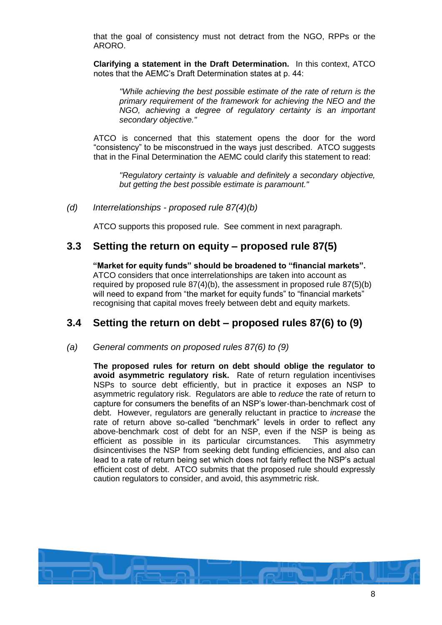that the goal of consistency must not detract from the NGO, RPPs or the ARORO.

**Clarifying a statement in the Draft Determination.** In this context, ATCO notes that the AEMC's Draft Determination states at p. 44:

*"While achieving the best possible estimate of the rate of return is the primary requirement of the framework for achieving the NEO and the NGO, achieving a degree of regulatory certainty is an important secondary objective."*

ATCO is concerned that this statement opens the door for the word "consistency" to be misconstrued in the ways just described. ATCO suggests that in the Final Determination the AEMC could clarify this statement to read:

*"Regulatory certainty is valuable and definitely a secondary objective, but getting the best possible estimate is paramount."*

*(d) Interrelationships - proposed rule 87(4)(b)*

ATCO supports this proposed rule. See comment in next paragraph.

## <span id="page-8-1"></span>**3.3 Setting the return on equity – proposed rule 87(5)**

**"Market for equity funds" should be broadened to "financial markets".** ATCO considers that once interrelationships are taken into account as required by proposed rule 87(4)(b), the assessment in proposed rule 87(5)(b) will need to expand from "the market for equity funds" to "financial markets" recognising that capital moves freely between debt and equity markets.

# <span id="page-8-0"></span>**3.4 Setting the return on debt – proposed rules 87(6) to (9)**

*(a) General comments on proposed rules 87(6) to (9)*

**The proposed rules for return on debt should oblige the regulator to avoid asymmetric regulatory risk.** Rate of return regulation incentivises NSPs to source debt efficiently, but in practice it exposes an NSP to asymmetric regulatory risk. Regulators are able to *reduce* the rate of return to capture for consumers the benefits of an NSP's lower-than-benchmark cost of debt. However, regulators are generally reluctant in practice to *increase* the rate of return above so-called "benchmark" levels in order to reflect any above-benchmark cost of debt for an NSP, even if the NSP is being as efficient as possible in its particular circumstances. This asymmetry disincentivises the NSP from seeking debt funding efficiencies, and also can lead to a rate of return being set which does not fairly reflect the NSP's actual efficient cost of debt. ATCO submits that the proposed rule should expressly caution regulators to consider, and avoid, this asymmetric risk.

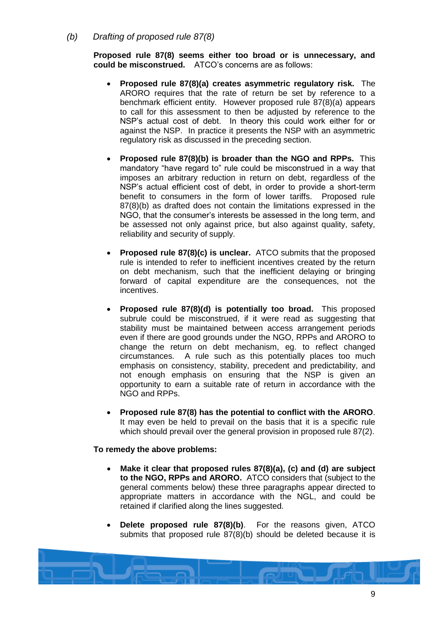<span id="page-9-0"></span>*(b) Drafting of proposed rule 87(8)*

**Proposed rule 87(8) seems either too broad or is unnecessary, and could be misconstrued.** ATCO's concerns are as follows:

- **Proposed rule 87(8)(a) creates asymmetric regulatory risk.** The ARORO requires that the rate of return be set by reference to a benchmark efficient entity. However proposed rule 87(8)(a) appears to call for this assessment to then be adjusted by reference to the NSP's actual cost of debt. In theory this could work either for or against the NSP. In practice it presents the NSP with an asymmetric regulatory risk as discussed in the preceding section.
- **Proposed rule 87(8)(b) is broader than the NGO and RPPs.** This mandatory "have regard to" rule could be misconstrued in a way that imposes an arbitrary reduction in return on debt, regardless of the NSP's actual efficient cost of debt, in order to provide a short-term benefit to consumers in the form of lower tariffs. Proposed rule 87(8)(b) as drafted does not contain the limitations expressed in the NGO, that the consumer's interests be assessed in the long term, and be assessed not only against price, but also against quality, safety, reliability and security of supply.
- **Proposed rule 87(8)(c) is unclear.** ATCO submits that the proposed rule is intended to refer to inefficient incentives created by the return on debt mechanism, such that the inefficient delaying or bringing forward of capital expenditure are the consequences, not the incentives.
- **Proposed rule 87(8)(d) is potentially too broad.** This proposed subrule could be misconstrued, if it were read as suggesting that stability must be maintained between access arrangement periods even if there are good grounds under the NGO, RPPs and ARORO to change the return on debt mechanism, eg. to reflect changed circumstances. A rule such as this potentially places too much emphasis on consistency, stability, precedent and predictability, and not enough emphasis on ensuring that the NSP is given an opportunity to earn a suitable rate of return in accordance with the NGO and RPPs.
- **Proposed rule 87(8) has the potential to conflict with the ARORO**. It may even be held to prevail on the basis that it is a specific rule which should prevail over the general provision in proposed rule 87(2).

#### **To remedy the above problems:**

- **Make it clear that proposed rules 87(8)(a), (c) and (d) are subject to the NGO, RPPs and ARORO.** ATCO considers that (subject to the general comments below) these three paragraphs appear directed to appropriate matters in accordance with the NGL, and could be retained if clarified along the lines suggested.
- **Delete proposed rule 87(8)(b)**. For the reasons given, ATCO submits that proposed rule 87(8)(b) should be deleted because it is

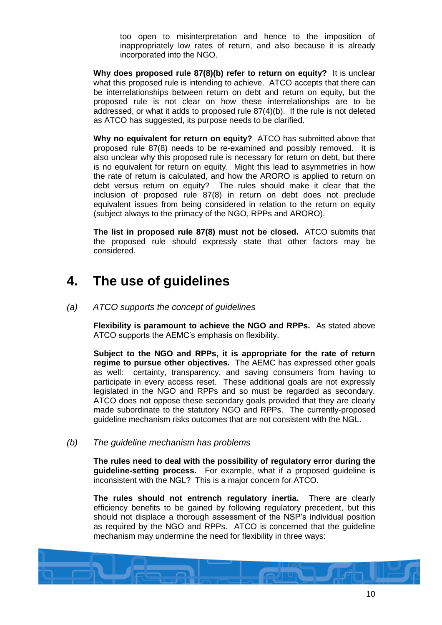too open to misinterpretation and hence to the imposition of inappropriately low rates of return, and also because it is already incorporated into the NGO.

**Why does proposed rule 87(8)(b) refer to return on equity?** It is unclear what this proposed rule is intending to achieve. ATCO accepts that there can be interrelationships between return on debt and return on equity, but the proposed rule is not clear on how these interrelationships are to be addressed, or what it adds to proposed rule 87(4)(b). If the rule is not deleted as ATCO has suggested, its purpose needs to be clarified.

**Why no equivalent for return on equity?** ATCO has submitted above that proposed rule 87(8) needs to be re-examined and possibly removed. It is also unclear why this proposed rule is necessary for return on debt, but there is no equivalent for return on equity. Might this lead to asymmetries in how the rate of return is calculated, and how the ARORO is applied to return on debt versus return on equity? The rules should make it clear that the inclusion of proposed rule 87(8) in return on debt does not preclude equivalent issues from being considered in relation to the return on equity (subject always to the primacy of the NGO, RPPs and ARORO).

**The list in proposed rule 87(8) must not be closed.** ATCO submits that the proposed rule should expressly state that other factors may be considered.

# <span id="page-10-0"></span>**4. The use of guidelines**

*(a) ATCO supports the concept of guidelines*

**Flexibility is paramount to achieve the NGO and RPPs.** As stated above ATCO supports the AEMC's emphasis on flexibility.

**Subject to the NGO and RPPs, it is appropriate for the rate of return regime to pursue other objectives.** The AEMC has expressed other goals as well: certainty, transparency, and saving consumers from having to participate in every access reset. These additional goals are not expressly legislated in the NGO and RPPs and so must be regarded as secondary. ATCO does not oppose these secondary goals provided that they are clearly made subordinate to the statutory NGO and RPPs. The currently-proposed guideline mechanism risks outcomes that are not consistent with the NGL.

<span id="page-10-1"></span>*(b) The guideline mechanism has problems*

**The rules need to deal with the possibility of regulatory error during the guideline-setting process.** For example, what if a proposed guideline is inconsistent with the NGL? This is a major concern for ATCO.

**The rules should not entrench regulatory inertia.** There are clearly efficiency benefits to be gained by following regulatory precedent, but this should not displace a thorough assessment of the NSP's individual position as required by the NGO and RPPs. ATCO is concerned that the guideline mechanism may undermine the need for flexibility in three ways:

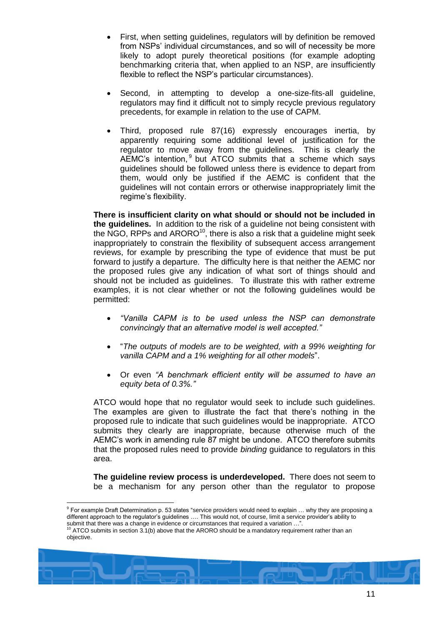- First, when setting guidelines, regulators will by definition be removed from NSPs' individual circumstances, and so will of necessity be more likely to adopt purely theoretical positions (for example adopting benchmarking criteria that, when applied to an NSP, are insufficiently flexible to reflect the NSP's particular circumstances).
- Second, in attempting to develop a one-size-fits-all guideline, regulators may find it difficult not to simply recycle previous regulatory precedents, for example in relation to the use of CAPM.
- <span id="page-11-0"></span> Third, proposed rule 87(16) expressly encourages inertia, by apparently requiring some additional level of justification for the regulator to move away from the guidelines. This is clearly the AEMC's intention,  $9$  but ATCO submits that a scheme which says guidelines should be followed unless there is evidence to depart from them, would only be justified if the AEMC is confident that the guidelines will not contain errors or otherwise inappropriately limit the regime's flexibility.

**There is insufficient clarity on what should or should not be included in the guidelines.** In addition to the risk of a guideline not being consistent with the NGO, RPPs and ARORO<sup>10</sup>, there is also a risk that a guideline might seek inappropriately to constrain the flexibility of subsequent access arrangement reviews, for example by prescribing the type of evidence that must be put forward to justify a departure. The difficulty here is that neither the AEMC nor the proposed rules give any indication of what sort of things should and should not be included as guidelines. To illustrate this with rather extreme examples, it is not clear whether or not the following guidelines would be permitted:

- *"Vanilla CAPM is to be used unless the NSP can demonstrate convincingly that an alternative model is well accepted."*
- "*The outputs of models are to be weighted, with a 99% weighting for vanilla CAPM and a 1% weighting for all other models*".
- Or even *"A benchmark efficient entity will be assumed to have an equity beta of 0.3%."*

ATCO would hope that no regulator would seek to include such guidelines. The examples are given to illustrate the fact that there's nothing in the proposed rule to indicate that such guidelines would be inappropriate. ATCO submits they clearly are inappropriate, because otherwise much of the AEMC's work in amending rule 87 might be undone. ATCO therefore submits that the proposed rules need to provide *binding* guidance to regulators in this area.

**The guideline review process is underdeveloped.** There does not seem to be a mechanism for any person other than the regulator to propose

ATCO submits in section [3.1\(b\)](#page-3-0) above that the ARORO should be a mandatory requirement rather than an objective.



 9 For example Draft Determination p. 53 states "service providers would need to explain … why they are proposing a different approach to the regulator's guidelines …. This would not, of course, limit a service provider's ability to submit that there was a change in evidence or circumstances that required a variation …".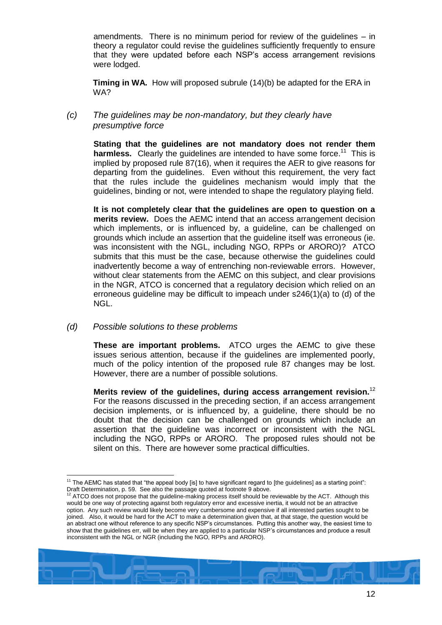amendments. There is no minimum period for review of the guidelines – in theory a regulator could revise the guidelines sufficiently frequently to ensure that they were updated before each NSP's access arrangement revisions were lodged.

**Timing in WA.** How will proposed subrule (14)(b) be adapted for the ERA in WA?

## *(c) The guidelines may be non-mandatory, but they clearly have presumptive force*

**Stating that the guidelines are not mandatory does not render them**  harmless. Clearly the guidelines are intended to have some force.<sup>11</sup> This is implied by proposed rule 87(16), when it requires the AER to give reasons for departing from the guidelines. Even without this requirement, the very fact that the rules include the guidelines mechanism would imply that the guidelines, binding or not, were intended to shape the regulatory playing field.

**It is not completely clear that the guidelines are open to question on a merits review.** Does the AEMC intend that an access arrangement decision which implements, or is influenced by, a guideline, can be challenged on grounds which include an assertion that the guideline itself was erroneous (ie. was inconsistent with the NGL, including NGO, RPPs or ARORO)? ATCO submits that this must be the case, because otherwise the guidelines could inadvertently become a way of entrenching non-reviewable errors. However, without clear statements from the AEMC on this subject, and clear provisions in the NGR, ATCO is concerned that a regulatory decision which relied on an erroneous guideline may be difficult to impeach under s246(1)(a) to (d) of the NGL.

## <span id="page-12-0"></span>*(d) Possible solutions to these problems*

**These are important problems.** ATCO urges the AEMC to give these issues serious attention, because if the guidelines are implemented poorly, much of the policy intention of the proposed rule 87 changes may be lost. However, there are a number of possible solutions.

**Merits review of the guidelines, during access arrangement revision.**<sup>12</sup> For the reasons discussed in the preceding section, if an access arrangement decision implements, or is influenced by, a guideline, there should be no doubt that the decision can be challenged on grounds which include an assertion that the guideline was incorrect or inconsistent with the NGL including the NGO, RPPs or ARORO. The proposed rules should not be silent on this. There are however some practical difficulties.

<sup>12</sup> ATCO does not propose that the guideline-making process itself should be reviewable by the ACT. Although this would be one way of protecting against both regulatory error and excessive inertia, it would not be an attractive option. Any such review would likely become very cumbersome and expensive if all interested parties sought to be joined. Also, it would be hard for the ACT to make a determination given that, at that stage, the question would be an abstract one without reference to any specific NSP's circumstances. Putting this another way, the easiest time to show that the guidelines err, will be when they are applied to a particular NSP's circumstances and produce a result inconsistent with the NGL or NGR (including the NGO, RPPs and ARORO).



 $\overline{a}$ <sup>11</sup> The AEMC has stated that "the appeal body [is] to have significant regard to [the guidelines] as a starting point": Draft Determination, p. 59. See also the passage quoted at footnote [9](#page-11-0) above.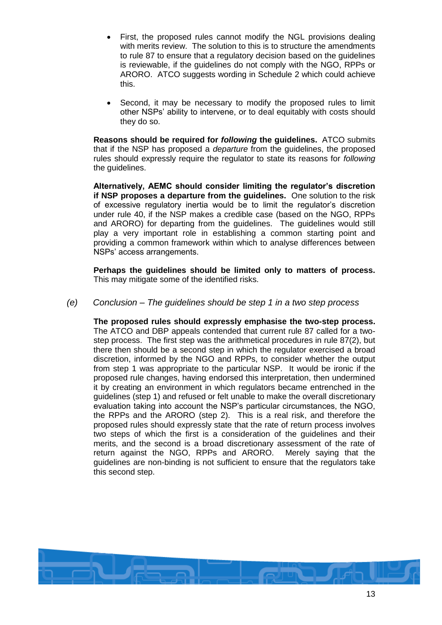- First, the proposed rules cannot modify the NGL provisions dealing with merits review. The solution to this is to structure the amendments to rule 87 to ensure that a regulatory decision based on the guidelines is reviewable, if the guidelines do not comply with the NGO, RPPs or ARORO. ATCO suggests wording in [Schedule 2](#page-16-0) which could achieve this.
- Second, it may be necessary to modify the proposed rules to limit other NSPs' ability to intervene, or to deal equitably with costs should they do so.

**Reasons should be required for** *following* **the guidelines.** ATCO submits that if the NSP has proposed a *departure* from the guidelines, the proposed rules should expressly require the regulator to state its reasons for *following* the guidelines.

**Alternatively, AEMC should consider limiting the regulator's discretion if NSP proposes a departure from the guidelines.** One solution to the risk of excessive regulatory inertia would be to limit the regulator's discretion under rule 40, if the NSP makes a credible case (based on the NGO, RPPs and ARORO) for departing from the guidelines. The guidelines would still play a very important role in establishing a common starting point and providing a common framework within which to analyse differences between NSPs' access arrangements.

**Perhaps the guidelines should be limited only to matters of process.** This may mitigate some of the identified risks.

*(e) Conclusion – The guidelines should be step 1 in a two step process*

**The proposed rules should expressly emphasise the two-step process.** The ATCO and DBP appeals contended that current rule 87 called for a twostep process. The first step was the arithmetical procedures in rule 87(2), but there then should be a second step in which the regulator exercised a broad discretion, informed by the NGO and RPPs, to consider whether the output from step 1 was appropriate to the particular NSP. It would be ironic if the proposed rule changes, having endorsed this interpretation, then undermined it by creating an environment in which regulators became entrenched in the guidelines (step 1) and refused or felt unable to make the overall discretionary evaluation taking into account the NSP's particular circumstances, the NGO, the RPPs and the ARORO (step 2). This is a real risk, and therefore the proposed rules should expressly state that the rate of return process involves two steps of which the first is a consideration of the guidelines and their merits, and the second is a broad discretionary assessment of the rate of return against the NGO, RPPs and ARORO. Merely saying that the guidelines are non-binding is not sufficient to ensure that the regulators take this second step.

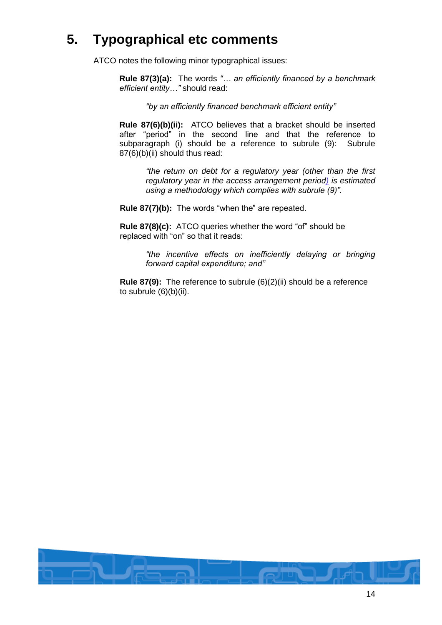# **5. Typographical etc comments**

ATCO notes the following minor typographical issues:

**Rule 87(3)(a):** The words *"… an efficiently financed by a benchmark efficient entity…"* should read:

*"by an efficiently financed benchmark efficient entity"*

**Rule 87(6)(b)(ii):** ATCO believes that a bracket should be inserted after "period" in the second line and that the reference to subparagraph (i) should be a reference to subrule (9): Subrule 87(6)(b)(ii) should thus read:

> *"the return on debt for a regulatory year (other than the first regulatory year in the access arrangement period) is estimated using a methodology which complies with subrule (9)".*

**Rule 87(7)(b):** The words "when the" are repeated.

**Rule 87(8)(c):** ATCO queries whether the word "of" should be replaced with "on" so that it reads:

> *"the incentive effects on inefficiently delaying or bringing forward capital expenditure; and"*

**Rule 87(9):** The reference to subrule (6)(2)(ii) should be a reference to subrule (6)(b)(ii).

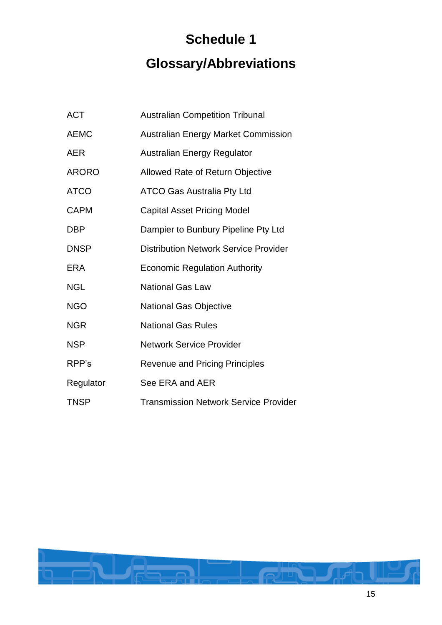# **Schedule 1 Glossary/Abbreviations**

| <b>ACT</b>   | <b>Australian Competition Tribunal</b>       |
|--------------|----------------------------------------------|
| <b>AEMC</b>  | <b>Australian Energy Market Commission</b>   |
| <b>AER</b>   | <b>Australian Energy Regulator</b>           |
| <b>ARORO</b> | Allowed Rate of Return Objective             |
| <b>ATCO</b>  | <b>ATCO Gas Australia Pty Ltd</b>            |
| <b>CAPM</b>  | <b>Capital Asset Pricing Model</b>           |
| <b>DBP</b>   | Dampier to Bunbury Pipeline Pty Ltd          |
| <b>DNSP</b>  | <b>Distribution Network Service Provider</b> |
| ERA          | <b>Economic Regulation Authority</b>         |
| <b>NGL</b>   | <b>National Gas Law</b>                      |
| <b>NGO</b>   | <b>National Gas Objective</b>                |
| <b>NGR</b>   | <b>National Gas Rules</b>                    |
| <b>NSP</b>   | <b>Network Service Provider</b>              |
| RPP's        | <b>Revenue and Pricing Principles</b>        |
| Regulator    | See ERA and AER                              |
| <b>TNSP</b>  | <b>Transmission Network Service Provider</b> |

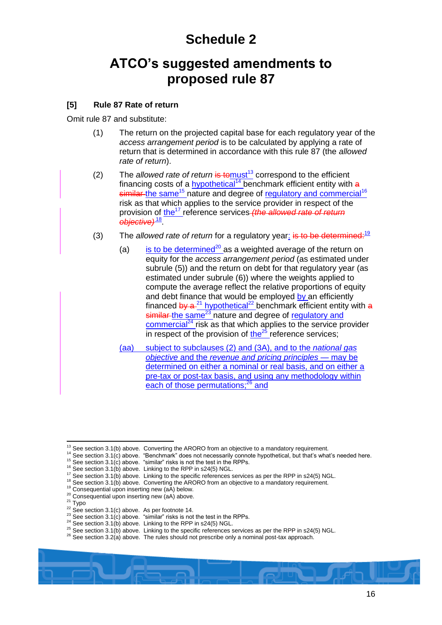# **Schedule 2**

# <span id="page-16-0"></span>**ATCO's suggested amendments to proposed rule 87**

## **[5] Rule 87 Rate of return**

Omit rule 87 and substitute:

- (1) The return on the projected capital base for each regulatory year of the *access arrangement period* is to be calculated by applying a rate of return that is determined in accordance with this rule 87 (the *allowed rate of return*).
- <span id="page-16-1"></span>(2) The *allowed rate of return* is to must<sup>13</sup> correspond to the efficient financing costs of a hypothetical<sup>14</sup> benchmark efficient entity with  $a$  $s$ imilar the same<sup>15</sup> nature and degree of regulatory and commercial<sup>16</sup> risk as that which applies to the service provider in respect of the provision of the<sup>17</sup> reference services *(the allowed rate of return objective)* <sup>18</sup> .
- (3) The *allowed rate of return* for a regulatory year: is to be determined:<sup>19</sup>
	- (a) is to be determined<sup>20</sup> as a weighted average of the return on equity for the *access arrangement period* (as estimated under subrule (5)) and the return on debt for that regulatory year (as estimated under subrule (6)) where the weights applied to compute the average reflect the relative proportions of equity and debt finance that would be employed by an efficiently financed by  $a^{-21}$  hypothetical<sup>22</sup> benchmark efficient entity with a similar the same<sup>23</sup> nature and degree of regulatory and  $commercial<sup>24</sup>$  risk as that which applies to the service provider in respect of the provision of  $\frac{\hbar^2}{\hbar^2}$  reference services;
	- (aa) subject to subclauses (2) and (3A), and to the *national gas objective* and the *revenue and pricing principles* — may be determined on either a nominal or real basis, and on either a pre-tax or post-tax basis, and using any methodology within each of those permutations;<sup>26</sup> and

 $\overline{a}$  $13$  See sectio[n 3.1\(b\)](#page-3-0) above. Converting the ARORO from an objective to a mandatory requirement.

<sup>&</sup>lt;sup>14</sup> See sectio[n 3.1\(c\)](#page-3-1) above. "Benchmark" does not necessarily connote hypothetical, but that's what's needed here.

<sup>&</sup>lt;sup>15</sup> See sectio[n 3.1\(c\)](#page-3-1) above. "similar" risks is not the test in the RPPs.

<sup>16</sup> See sectio[n 3.1\(b\)](#page-3-0) above. Linking to the RPP in s24(5) NGL.

<sup>&</sup>lt;sup>17</sup> See sectio[n 3.1\(b\)](#page-3-0) above. Linking to the specific references services as per the RPP in s24(5) NGL.

<sup>&</sup>lt;sup>18</sup> See sectio[n 3.1\(b\)](#page-3-0) above. Converting the ARORO from an objective to a mandatory requirement.

<sup>&</sup>lt;sup>19</sup> Consequential upon inserting new (aA) below.

<sup>20</sup> Consequential upon inserting new (aA) above.

 $21$  Typo

 $22$  See sectio[n 3.1\(c\)](#page-3-1) above. As per footnot[e 14.](#page-16-1)

<sup>&</sup>lt;sup>23</sup> See section  $3.1(c)$  above. "similar" risks is not the test in the RPPs.

<sup>24</sup> See sectio[n 3.1\(b\)](#page-3-0) above. Linking to the RPP in s24(5) NGL.

 $25$  See sectio[n 3.1\(b\)](#page-3-0) above. Linking to the specific references services as per the RPP in s24(5) NGL.

 $^{26}$  See sectio[n 3.2\(a\)](#page-5-0) above. The rules should not prescribe only a nominal post-tax approach.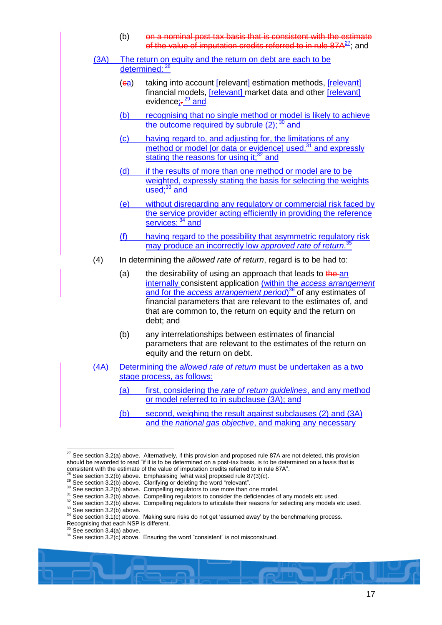| (b) | on a nominal post-tax basis that is consistent with the estimate               |
|-----|--------------------------------------------------------------------------------|
|     | of the value of imputation credits referred to in rule 87A <sup>27</sup> ; and |

(3A) The return on equity and the return on debt are each to be determined: 28

- <span id="page-17-0"></span>(ea) taking into account [relevant] estimation methods, [relevant] financial models, [relevant] market data and other [relevant] evidence<u>;-<sup>29</sup> and</u>
- (b) recognising that no single method or model is likely to achieve the outcome required by subrule (2); <sup>30</sup> and
- (c) having regard to, and adjusting for, the limitations of any method or model [or data or evidence] used,<sup>31</sup> and expressly stating the reasons for using it: $32$  and
- (d) if the results of more than one method or model are to be weighted, expressly stating the basis for selecting the weights used; $33$  and
- (e) without disregarding any regulatory or commercial risk faced by the service provider acting efficiently in providing the reference services; <sup>34</sup> and
- (f) having regard to the possibility that asymmetric regulatory risk may produce an incorrectly low *approved rate of return*. 35
- (4) In determining the *allowed rate of return*, regard is to be had to:
	- (a) the desirability of using an approach that leads to the an internally consistent application (within the *access arrangement*  and for the *access arrangement period*) *<sup>36</sup>* of any estimates of financial parameters that are relevant to the estimates of, and that are common to, the return on equity and the return on debt; and
	- (b) any interrelationships between estimates of financial parameters that are relevant to the estimates of the return on equity and the return on debt.
- (4A) Determining the *allowed rate of return* must be undertaken as a two stage process, as follows:
	- (a) first, considering the *rate of return guidelines*, and any method or model referred to in subclause (3A); and
	- (b) second, weighing the result against subclauses (2) and (3A) and the *national gas objective*, and making any necessary

 $\overline{a}$ <sup>27</sup> See sectio[n 3.2\(a\)](#page-5-0) above. Alternatively, if this provision and proposed rule 87A are not deleted, this provision should be reworded to read "if it is to be determined on a post-tax basis, is to be determined on a basis that is consistent with the estimate of the value of imputation credits referred to in rule 87A".

See sectio[n 3.2\(b\)](#page-6-0) above. Emphasising [what was] proposed rule 87(3)(c).

 $^{29}$  See sectio[n 3.2\(b\)](#page-6-0) above. Clarifying or deleting the word "relevant".

<sup>&</sup>lt;sup>30</sup> See sectio[n 3.2\(b\)](#page-6-0) above. Compelling regulators to use more than one model.

<sup>&</sup>lt;sup>31</sup> See sectio[n 3.2\(b\)](#page-6-0) above. Compelling regulators to consider the deficiencies of any models etc used.

<sup>&</sup>lt;sup>32</sup> See sectio[n 3.2\(b\)](#page-6-0) above. Compelling regulators to articulate their reasons for selecting any models etc used.

 $33$  See sectio[n 3.2\(b\)](#page-6-0) above.

<sup>&</sup>lt;sup>34</sup> See sectio[n 3.1\(c\)](#page-3-1) above. Making sure risks do not get 'assumed away' by the benchmarking process.

Recognising that each NSP is different.

See sectio[n 3.4\(a\)](#page-8-0) above.

<sup>36</sup> See sectio[n 3.2\(c\)](#page-7-0) above. Ensuring the word "consistent" is not misconstrued.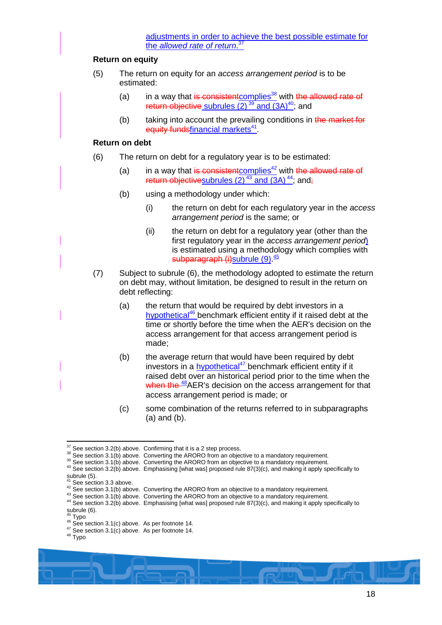#### **Return on equity**

- (5) The return on equity for an *access arrangement period* is to be estimated:
	- (a) in a way that is consistent complies<sup>38</sup> with the allowed rate of return objective subrules  $(2)$   $39$  and  $(3)$ <sup>40</sup>; and
	- (b) taking into account the prevailing conditions in the market for equity fundsfinancial markets<sup>41</sup>.

#### **Return on debt**

- (6) The return on debt for a regulatory year is to be estimated:
	- (a) in a way that is consistent complies<sup>42</sup> with the allowed rate of return objectivesubrules  $(2)^{43}$  and  $(3)^{44}$ ; and;
	- (b) using a methodology under which:
		- (i) the return on debt for each regulatory year in the *access arrangement period* is the same; or
		- (ii) the return on debt for a regulatory year (other than the first regulatory year in the *access arrangement period*) is estimated using a methodology which complies with subparagraph (i)subrule (9).<sup>45</sup>
- (7) Subject to subrule (6), the methodology adopted to estimate the return on debt may, without limitation, be designed to result in the return on debt reflecting:
	- (a) the return that would be required by debt investors in a hypothetical<sup>46</sup> benchmark efficient entity if it raised debt at the time or shortly before the time when the AER's decision on the access arrangement for that access arrangement period is made;
	- (b) the average return that would have been required by debt investors in a hypothetical<sup>47</sup> benchmark efficient entity if it raised debt over an historical period prior to the time when the when the <sup>48</sup>AER's decision on the access arrangement for that access arrangement period is made; or
	- (c) some combination of the returns referred to in subparagraphs (a) and (b).

 $37$  See sectio[n 3.2\(b\)](#page-6-0) above. Confirming that it is a 2 step process.

<sup>38</sup> See sectio[n 3.1\(b\)](#page-3-0) above. Converting the ARORO from an objective to a mandatory requirement.

<sup>&</sup>lt;sup>39</sup> See sectio[n 3.1\(b\)](#page-3-0) above. Converting the ARORO from an objective to a mandatory requirement.

<sup>40</sup> See sectio[n 3.2\(b\)](#page-6-0) above. Emphasising [what was] proposed rule 87(3)(c), and making it apply specifically to subrule  $(5)$ .

See sectio[n 3.3](#page-8-1) above.

<sup>&</sup>lt;sup>42</sup> See sectio[n 3.1\(b\)](#page-3-0) above. Converting the ARORO from an objective to a mandatory requirement.

<sup>43</sup> See sectio[n 3.1\(b\)](#page-3-0) above. Converting the ARORO from an objective to a mandatory requirement.

<sup>44</sup> See sectio[n 3.2\(b\)](#page-6-0) above. Emphasising [what was] proposed rule 87(3)(c), and making it apply specifically to

subrule (6). <sup>45</sup> Typo

 $46$  See sectio[n 3.1\(c\)](#page-3-1) above. As per footnot[e 14.](#page-16-1)

 $47$  See sectio[n 3.1\(c\)](#page-3-1) above. As per footnot[e 14.](#page-16-1)

<sup>48</sup> Typo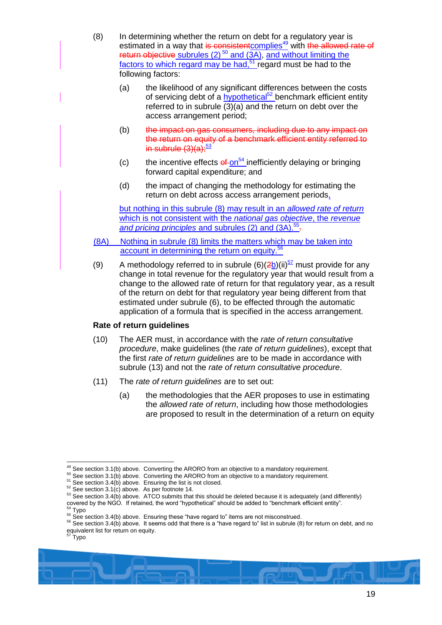- (8) In determining whether the return on debt for a regulatory year is estimated in a way that is consistent complies<sup>49</sup> with the allowed rate of return objective subrules (2) <sup>50</sup> and (3A), and without limiting the factors to which regard may be had,<sup>51</sup> regard must be had to the following factors:
	- (a) the likelihood of any significant differences between the costs of servicing debt of a **hypothetical<sup>52</sup>** benchmark efficient entity referred to in subrule (3)(a) and the return on debt over the access arrangement period;
	- (b) the impact on gas consumers, including due to any impact on the return on equity of a benchmark efficient entity referred to in subrule  $(3)(a)$ ;<sup>53</sup>
	- (c) the incentive effects  $e^f$ -on<sup>54</sup> inefficiently delaying or bringing forward capital expenditure; and
	- (d) the impact of changing the methodology for estimating the return on debt across access arrangement periods,

but nothing in this subrule (8) may result in an *allowed rate of return* which is not consistent with the *national gas objective*, the *revenue*  and pricing principles and subrules (2) and (3A).<sup>55</sup>-

- (8A) Nothing in subrule (8) limits the matters which may be taken into account in determining the return on equity.<sup>56</sup>
- (9) A methodology referred to in subrule  $(6)(2b)(ii)^{57}$  must provide for any change in total revenue for the regulatory year that would result from a change to the allowed rate of return for that regulatory year, as a result of the return on debt for that regulatory year being different from that estimated under subrule (6), to be effected through the automatic application of a formula that is specified in the access arrangement.

## **Rate of return guidelines**

- (10) The AER must, in accordance with the *rate of return consultative procedure*, make guidelines (the *rate of return guidelines*), except that the first *rate of return guidelines* are to be made in accordance with subrule (13) and not the *rate of return consultative procedure*.
- (11) The *rate of return guidelines* are to set out:
	- (a) the methodologies that the AER proposes to use in estimating the *allowed rate of return*, including how those methodologies are proposed to result in the determination of a return on equity

 $49$  See sectio[n 3.1\(b\)](#page-3-0) above. Converting the ARORO from an objective to a mandatory requirement.

 $50$  See sectio[n 3.1\(b\)](#page-3-0) above. Converting the ARORO from an objective to a mandatory requirement.

 $51$  See sectio[n 3.4\(b\)](#page-9-0) above. Ensuring the list is not closed.

 $52$  See sectio[n 3.1\(c\)](#page-3-1) above. As per footnot[e 14.](#page-16-1)

<sup>53</sup> See sectio[n 3.4\(b\)](#page-9-0) above. ATCO submits that this should be deleted because it is adequately (and differently) covered by the NGO. If retained, the word "hypothetical" should be added to "benchmark efficient entity". Typo

 $55$  See sectio[n 3.4\(b\)](#page-9-0) above. Ensuring these "have regard to" items are not misconstrued.

<sup>56</sup> See sectio[n 3.4\(b\)](#page-9-0) above. It seems odd that there is a "have regard to" list in subrule (8) for return on debt, and no equivalent list for return on equity.

<sup>57</sup> Typo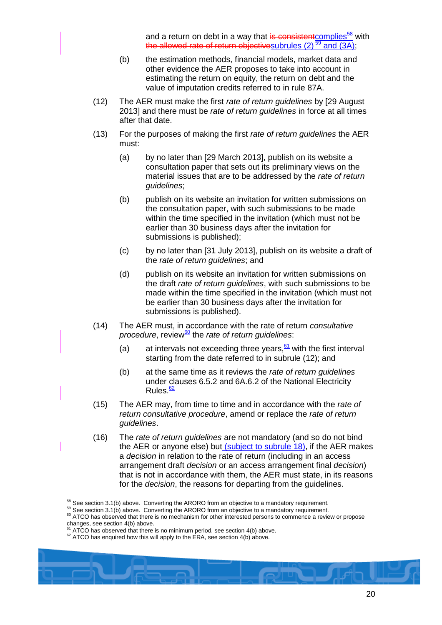and a return on debt in a way that is consistentcomplies<sup>58</sup> with the allowed rate of return objectives ubrules  $(2)$   $\frac{59}{2}$  and  $(3A)$ ;

- (b) the estimation methods, financial models, market data and other evidence the AER proposes to take into account in estimating the return on equity, the return on debt and the value of imputation credits referred to in rule 87A.
- (12) The AER must make the first *rate of return guidelines* by [29 August 2013] and there must be *rate of return guidelines* in force at all times after that date.
- (13) For the purposes of making the first *rate of return guidelines* the AER must:
	- (a) by no later than [29 March 2013], publish on its website a consultation paper that sets out its preliminary views on the material issues that are to be addressed by the *rate of return guidelines*;
	- (b) publish on its website an invitation for written submissions on the consultation paper, with such submissions to be made within the time specified in the invitation (which must not be earlier than 30 business days after the invitation for submissions is published);
	- (c) by no later than [31 July 2013], publish on its website a draft of the *rate of return guidelines*; and
	- (d) publish on its website an invitation for written submissions on the draft *rate of return guidelines*, with such submissions to be made within the time specified in the invitation (which must not be earlier than 30 business days after the invitation for submissions is published).
- (14) The AER must, in accordance with the rate of return *consultative procedure*, review<sup>60</sup> the *rate of return guidelines*:
	- (a) at intervals not exceeding three years,  $61$  with the first interval starting from the date referred to in subrule (12); and
	- (b) at the same time as it reviews the *rate of return guidelines* under clauses 6.5.2 and 6A.6.2 of the National Electricity Rules.<sup>62</sup>
- (15) The AER may, from time to time and in accordance with the *rate of return consultative procedure*, amend or replace the *rate of return guidelines*.
- (16) The *rate of return guidelines* are not mandatory (and so do not bind the AER or anyone else) but (subject to subrule 18), if the AER makes a *decision* in relation to the rate of return (including in an access arrangement draft *decision* or an access arrangement final *decision*) that is not in accordance with them, the AER must state, in its reasons for the *decision*, the reasons for departing from the guidelines.

 $58$  See sectio[n 3.1\(b\)](#page-3-0) above. Converting the ARORO from an objective to a mandatory requirement.

 $59$  See sectio[n 3.1\(b\)](#page-3-0) above. Converting the ARORO from an objective to a mandatory requirement.

<sup>&</sup>lt;sup>60</sup> ATCO has observed that there is no mechanism for other interested persons to commence a review or propose changes, see sectio[n 4\(b\)](#page-10-1) above.

ATCO has observed that there is no minimum period, see sectio[n 4\(b\)](#page-10-1) above.

<sup>&</sup>lt;sup>62</sup> ATCO has enquired how this will apply to the ERA, see sectio[n 4\(b\)](#page-10-1) above.